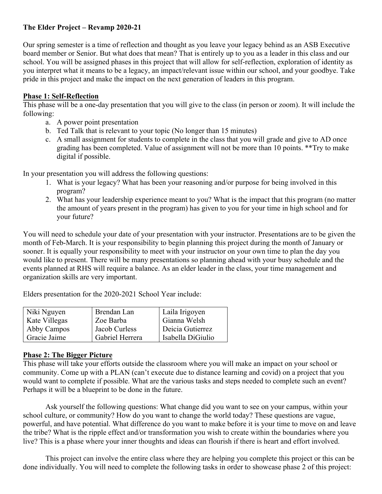## **The Elder Project – Revamp 2020-21**

Our spring semester is a time of reflection and thought as you leave your legacy behind as an ASB Executive board member or Senior. But what does that mean? That is entirely up to you as a leader in this class and our school. You will be assigned phases in this project that will allow for self-reflection, exploration of identity as you interpret what it means to be a legacy, an impact/relevant issue within our school, and your goodbye. Take pride in this project and make the impact on the next generation of leaders in this program.

## **Phase 1: Self-Reflection**

This phase will be a one-day presentation that you will give to the class (in person or zoom). It will include the following:

- a. A power point presentation
- b. Ted Talk that is relevant to your topic (No longer than 15 minutes)
- c. A small assignment for students to complete in the class that you will grade and give to AD once grading has been completed. Value of assignment will not be more than 10 points. \*\*Try to make digital if possible.

In your presentation you will address the following questions:

- 1. What is your legacy? What has been your reasoning and/or purpose for being involved in this program?
- 2. What has your leadership experience meant to you? What is the impact that this program (no matter the amount of years present in the program) has given to you for your time in high school and for your future?

You will need to schedule your date of your presentation with your instructor. Presentations are to be given the month of Feb-March. It is your responsibility to begin planning this project during the month of January or sooner. It is equally your responsibility to meet with your instructor on your own time to plan the day you would like to present. There will be many presentations so planning ahead with your busy schedule and the events planned at RHS will require a balance. As an elder leader in the class, your time management and organization skills are very important.

Elders presentation for the 2020-2021 School Year include:

| Niki Nguyen   | Brendan Lan     | Laila Irigoyen    |
|---------------|-----------------|-------------------|
| Kate Villegas | Zoe Barba       | Gianna Welsh      |
| Abby Campos   | Jacob Curless   | Deicia Gutierrez  |
| Gracie Jaime  | Gabriel Herrera | Isabella DiGiulio |

## **Phase 2: The Bigger Picture**

This phase will take your efforts outside the classroom where you will make an impact on your school or community. Come up with a PLAN (can't execute due to distance learning and covid) on a project that you would want to complete if possible. What are the various tasks and steps needed to complete such an event? Perhaps it will be a blueprint to be done in the future.

Ask yourself the following questions: What change did you want to see on your campus, within your school culture, or community? How do you want to change the world today? These questions are vague, powerful, and have potential. What difference do you want to make before it is your time to move on and leave the tribe? What is the ripple effect and/or transformation you wish to create within the boundaries where you live? This is a phase where your inner thoughts and ideas can flourish if there is heart and effort involved.

This project can involve the entire class where they are helping you complete this project or this can be done individually. You will need to complete the following tasks in order to showcase phase 2 of this project: